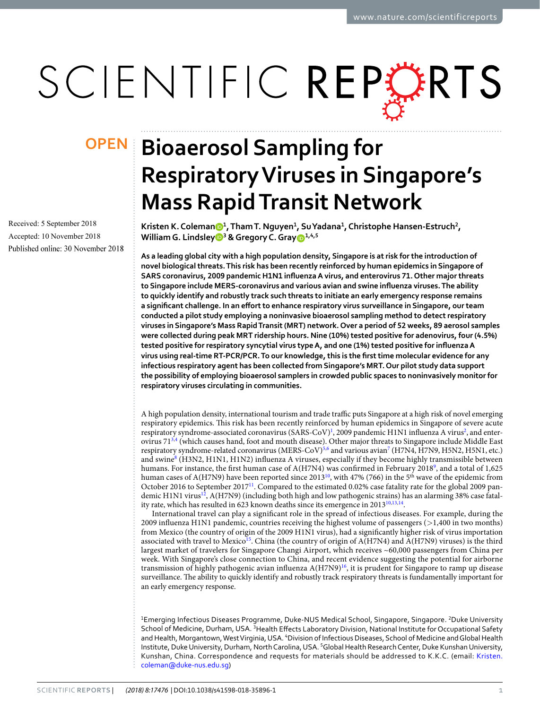# SCIENTIFIC REPERTS

Received: 5 September 2018 Accepted: 10 November 2018 Published online: 30 November 2018

## **Bioaerosol Sampling for OPENRespiratory Viruses in Singapore's Mass Rapid Transit Network**

**Kristen K. Colema[n](http://orcid.org/0000-0003-0024-3400) <sup>1</sup>, ThamT. Nguyen<sup>1</sup>, SuYadana<sup>1</sup>, Christophe Hansen-Estruch<sup>2</sup>, William G. Lindsle[y](http://orcid.org/0000-0003-0720-5829) <sup>3</sup> & GregoryC.Gra[y](http://orcid.org/0000-0002-4628-5908) 1,4,5**

**As a leading global city with a high population density, Singapore is at risk for the introduction of novel biological threats. This risk has been recently reinforced by human epidemics in Singapore of SARS coronavirus, 2009 pandemic H1N1 infuenza A virus, and enterovirus 71. Other major threats to Singapore include MERS-coronavirus and various avian and swine infuenza viruses. The ability to quickly identify and robustly track such threats to initiate an early emergency response remains a signifcant challenge. In an efort to enhance respiratory virus surveillance in Singapore, our team conducted a pilot study employing a noninvasive bioaerosol sampling method to detect respiratory viruses in Singapore's Mass Rapid Transit (MRT) network. Over a period of 52 weeks, 89 aerosol samples were collected during peak MRT ridership hours. Nine (10%) tested positive for adenovirus, four (4.5%) tested positive for respiratory syncytial virus type A, and one (1%) tested positive for infuenza A virus using real-time RT-PCR/PCR. To our knowledge, this is the frst time molecular evidence for any infectious respiratory agent has been collected from Singapore's MRT. Our pilot study data support the possibility of employing bioaerosol samplers in crowded public spaces to noninvasively monitor for respiratory viruses circulating in communities.**

A high population density, international tourism and trade traffic puts Singapore at a high risk of novel emerging respiratory epidemics. Tis risk has been recently reinforced by human epidemics in Singapore of severe acute respiratory syndrome-associated coronavirus (SARS-CoV)<sup>1</sup>, [2](#page-5-1)009 pandemic H1N1 influenza A virus<sup>2</sup>, and enter-ovirus 71<sup>[3,](#page-5-2)[4](#page-5-3)</sup> (which causes hand, foot and mouth disease). Other major threats to Singapore include Middle East respiratory syndrome-related coronavirus (MERS-CoV)<sup>5[,6](#page-5-5)</sup> and various avian<sup>7</sup> (H7N4, H7N9, H5N2, H5N1, etc.) and swine<sup>8</sup> (H3N2, H1N1, H1N2) influenza A viruses, especially if they become highly transmissible between humans. For instance, the first human case of A(H7N4) was confirmed in February 2018<sup>9</sup>, and a total of 1,625 human cases of A(H7N9) have been reported since 2013<sup>10</sup>, with 47% (766) in the 5<sup>th</sup> wave of the epidemic from October 2016 to September 201[711](#page-5-10). Compared to the estimated 0.02% case fatality rate for the global 2009 pan-demic H1N1 virus<sup>[12](#page-5-11)</sup>, A(H7N9) (including both high and low pathogenic strains) has an alarming 38% case fatal-ity rate, which has resulted in 623 known deaths since its emergence in 2013<sup>10[,13](#page-5-12),14</sup>.

International travel can play a signifcant role in the spread of infectious diseases. For example, during the 2009 infuenza H1N1 pandemic, countries receiving the highest volume of passengers (>1,400 in two months) from Mexico (the country of origin of the 2009 H1N1 virus), had a signifcantly higher risk of virus importation associated with travel to Mexico<sup>15</sup>. China (the country of origin of  $A(H7N4)$  and  $A(H7N9)$  viruses) is the third largest market of travelers for Singapore Changi Airport, which receives ~60,000 passengers from China per week. With Singapore's close connection to China, and recent evidence suggesting the potential for airborne transmission of highly pathogenic avian influenza A(H7N9)<sup>[16](#page-5-15)</sup>, it is prudent for Singapore to ramp up disease surveillance. The ability to quickly identify and robustly track respiratory threats is fundamentally important for an early emergency response.

<sup>1</sup>Emerging Infectious Diseases Programme, Duke-NUS Medical School, Singapore, Singapore. <sup>2</sup>Duke University School of Medicine, Durham, USA. <sup>3</sup> Health Effects Laboratory Division, National Institute for Occupational Safety and Health, Morgantown, West Virginia, USA. 4Division of Infectious Diseases, School of Medicine and Global Health Institute, Duke University, Durham, North Carolina, USA. <sup>5</sup>Global Health Research Center, Duke Kunshan University, Kunshan, China. Correspondence and requests for materials should be addressed to K.K.C. (email: [Kristen.](mailto:Kristen.coleman@duke-nus.edu.sg) [coleman@duke-nus.edu.sg](mailto:Kristen.coleman@duke-nus.edu.sg))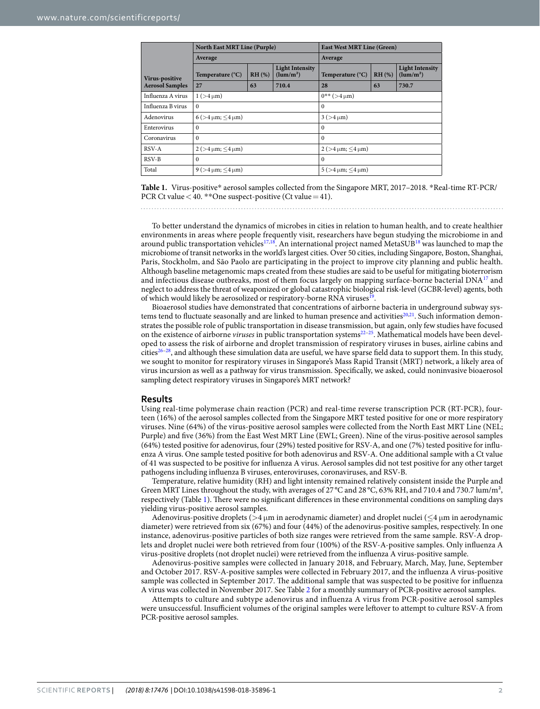<span id="page-1-0"></span>

|                                          | <b>North East MRT Line (Purple)</b> |       | <b>East West MRT Line (Green)</b>               |                                |        |                                                 |  |
|------------------------------------------|-------------------------------------|-------|-------------------------------------------------|--------------------------------|--------|-------------------------------------------------|--|
|                                          | Average                             |       |                                                 | Average                        |        |                                                 |  |
| Virus-positive<br><b>Aerosol Samples</b> | Temperature $(^{\circ}C)$           | RH(%) | <b>Light Intensity</b><br>(lum/m <sup>2</sup> ) | Temperature $(^{\circ}C)$      | RH (%) | <b>Light Intensity</b><br>(lum/m <sup>2</sup> ) |  |
|                                          | 27                                  | 63    | 710.4                                           | 28                             | 63     | 730.7                                           |  |
| Influenza A virus                        | $1(>4 \,\mu m)$                     |       |                                                 | $0^{**}$ (>4 $\mu$ m)          |        |                                                 |  |
| Influenza B virus                        | $\Omega$                            |       |                                                 | $\Omega$                       |        |                                                 |  |
| Adenovirus                               | $6$ ( $>4 \mu m$ ; $\leq 4 \mu m$ ) |       |                                                 | $3 (> 4 \,\mu m)$              |        |                                                 |  |
| Enterovirus                              | $\Omega$                            |       |                                                 | 0                              |        |                                                 |  |
| Coronavirus                              | $\Omega$                            |       |                                                 | $\Omega$                       |        |                                                 |  |
| RSV-A                                    | $2 (>4 \mu m; \leq 4 \mu m)$        |       |                                                 | $2 (>4 \mu m; \leq 4 \mu m)$   |        |                                                 |  |
| RSV-B                                    | $\Omega$                            |       |                                                 | $\Omega$                       |        |                                                 |  |
| Total                                    | $9 (> 4 \mu m; \leq 4 \mu m)$       |       |                                                 | $5 ( > 4 \mu m; \leq 4 \mu m)$ |        |                                                 |  |

Table 1. Virus-positive\* aerosol samples collected from the Singapore MRT, 2017–2018. \*Real-time RT-PCR/ PCR Ct value  $\lt 40$ . \*\*One suspect-positive (Ct value = 41).

To better understand the dynamics of microbes in cities in relation to human health, and to create healthier environments in areas where people frequently visit, researchers have begun studying the microbiome in and around public transportation vehicles<sup>[17](#page-5-16),[18](#page-5-17)</sup>. An international project named MetaSUB<sup>18</sup> was launched to map the microbiome of transit networks in the world's largest cities. Over 50 cities, including Singapore, Boston, Shanghai, Paris, Stockholm, and São Paolo are participating in the project to improve city planning and public health. Although baseline metagenomic maps created from these studies are said to be useful for mitigating bioterrorism and infectious disease outbreaks, most of them focus largely on mapping surface-borne bacterial DNA<sup>17</sup> and neglect to address the threat of weaponized or global catastrophic biological risk-level (GCBR-level) agents, both of which would likely be aerosolized or respiratory-borne RNA viruses<sup>19</sup>.

Bioaerosol studies have demonstrated that concentrations of airborne bacteria in underground subway sys-tems tend to fluctuate seasonally and are linked to human presence and activities<sup>20[,21](#page-5-20)</sup>. Such information demonstrates the possible role of public transportation in disease transmission, but again, only few studies have focused on the existence of airborne *viruses* in public transportation systems[22](#page-5-21)[–25.](#page-5-22) Mathematical models have been developed to assess the risk of airborne and droplet transmission of respiratory viruses in buses, airline cabins and cities<sup>26–[28](#page-5-24)</sup>, and although these simulation data are useful, we have sparse field data to support them. In this study, we sought to monitor for respiratory viruses in Singapore's Mass Rapid Transit (MRT) network, a likely area of virus incursion as well as a pathway for virus transmission. Specifcally, we asked, could noninvasive bioaerosol sampling detect respiratory viruses in Singapore's MRT network?

#### **Results**

Using real-time polymerase chain reaction (PCR) and real-time reverse transcription PCR (RT-PCR), fourteen (16%) of the aerosol samples collected from the Singapore MRT tested positive for one or more respiratory viruses. Nine (64%) of the virus-positive aerosol samples were collected from the North East MRT Line (NEL; Purple) and fve (36%) from the East West MRT Line (EWL; Green). Nine of the virus-positive aerosol samples (64%) tested positive for adenovirus, four (29%) tested positive for RSV-A, and one (7%) tested positive for infuenza A virus. One sample tested positive for both adenovirus and RSV-A. One additional sample with a Ct value of 41 was suspected to be positive for infuenza A virus. Aerosol samples did not test positive for any other target pathogens including infuenza B viruses, enteroviruses, coronaviruses, and RSV-B.

Temperature, relative humidity (RH) and light intensity remained relatively consistent inside the Purple and Green MRT Lines throughout the study, with averages of 27 °C and 28 °C, 63% RH, and 710.4 and 730.7 lum/m<sup>2</sup>, respectively (Table [1](#page-1-0)). There were no significant differences in these environmental conditions on sampling days yielding virus-positive aerosol samples.

Adenovirus-positive droplets ( $>4 \mu m$  in aerodynamic diameter) and droplet nuclei ( $\leq 4 \mu m$  in aerodynamic diameter) were retrieved from six (67%) and four (44%) of the adenovirus-positive samples, respectively. In one instance, adenovirus-positive particles of both size ranges were retrieved from the same sample. RSV-A droplets and droplet nuclei were both retrieved from four (100%) of the RSV-A-positive samples. Only infuenza A virus-positive droplets (not droplet nuclei) were retrieved from the infuenza A virus-positive sample.

Adenovirus-positive samples were collected in January 2018, and February, March, May, June, September and October 2017. RSV-A-positive samples were collected in February 2017, and the infuenza A virus-positive sample was collected in September 2017. The additional sample that was suspected to be positive for influenza A virus was collected in November 2017. See Table [2](#page-2-0) for a monthly summary of PCR-positive aerosol samples.

Attempts to culture and subtype adenovirus and influenza A virus from PCR-positive aerosol samples were unsuccessful. Insufficient volumes of the original samples were leftover to attempt to culture RSV-A from PCR-positive aerosol samples.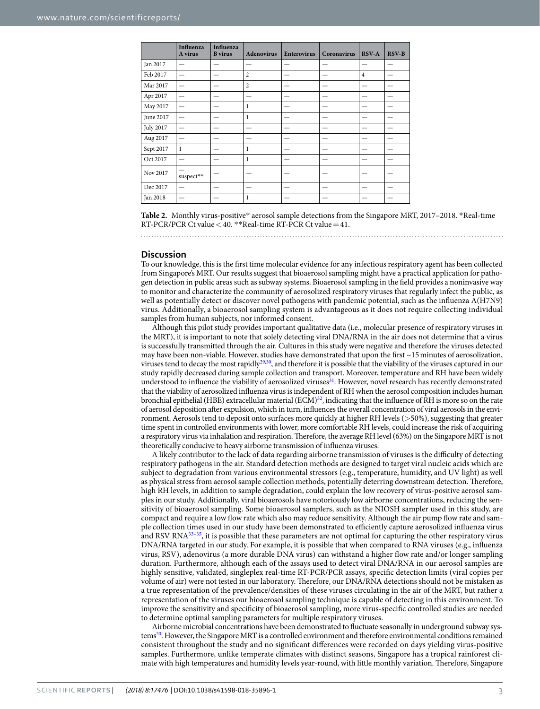<span id="page-2-0"></span>

|                  | Influenza<br>A virus | Influenza<br><b>B</b> virus | <b>Adenovirus</b> | <b>Enterovirus</b>       | Coronavirus | $RSV-A$        | $RSV-B$ |
|------------------|----------------------|-----------------------------|-------------------|--------------------------|-------------|----------------|---------|
| Jan 2017         | —                    |                             |                   | -                        |             |                |         |
| Feb 2017         |                      |                             | $\overline{2}$    |                          |             | $\overline{4}$ |         |
| Mar 2017         | –                    |                             | $\overline{2}$    |                          |             | –              |         |
| Apr 2017         |                      |                             |                   |                          |             |                |         |
| May 2017         |                      |                             | $\mathbf{1}$      | $\overline{\phantom{m}}$ |             |                |         |
| June 2017        |                      |                             | $\mathbf{1}$      |                          |             |                |         |
| <b>July 2017</b> |                      |                             |                   |                          |             |                |         |
| Aug 2017         | -                    |                             |                   | –                        |             |                |         |
| Sept 2017        | $\mathbf{1}$         |                             | $\mathbf{1}$      |                          |             |                |         |
| Oct 2017         | —                    |                             | $\mathbf{1}$      | –                        |             |                |         |
| Nov 2017         | ${\rm suspect^{**}}$ |                             |                   |                          |             |                |         |
| Dec 2017         | —                    |                             |                   | –                        |             |                |         |
| Jan 2018         |                      |                             | $\mathbf{1}$      |                          |             |                |         |

**Table 2.** Monthly virus-positive\* aerosol sample detections from the Singapore MRT, 2017–2018. \*Real-time RT-PCR/PCR Ct value  $<$  40. \*\*Real-time RT-PCR Ct value = 41.

#### **Discussion**

To our knowledge, this is the frst time molecular evidence for any infectious respiratory agent has been collected from Singapore's MRT. Our results suggest that bioaerosol sampling might have a practical application for pathogen detection in public areas such as subway systems. Bioaerosol sampling in the feld provides a noninvasive way to monitor and characterize the community of aerosolized respiratory viruses that regularly infect the public, as well as potentially detect or discover novel pathogens with pandemic potential, such as the infuenza A(H7N9) virus. Additionally, a bioaerosol sampling system is advantageous as it does not require collecting individual samples from human subjects, nor informed consent.

Although this pilot study provides important qualitative data (i.e., molecular presence of respiratory viruses in the MRT), it is important to note that solely detecting viral DNA/RNA in the air does not determine that a virus is successfully transmitted through the air. Cultures in this study were negative and therefore the viruses detected may have been non-viable. However, studies have demonstrated that upon the frst ~15minutes of aerosolization, viruses tend to decay the most rapidly[29](#page-5-25),[30](#page-5-26), and therefore it is possible that the viability of the viruses captured in our study rapidly decreased during sample collection and transport. Moreover, temperature and RH have been widely understood to influence the viability of aerosolized viruses<sup>31</sup>. However, novel research has recently demonstrated that the viability of aerosolized infuenza virus is independent of RH when the aerosol composition includes human bronchial epithelial (HBE) extracellular material (ECM)<sup>32</sup>, indicating that the influence of RH is more so on the rate of aerosol deposition afer expulsion, which in turn, infuences the overall concentration of viral aerosols in the environment. Aerosols tend to deposit onto surfaces more quickly at higher RH levels (>50%), suggesting that greater time spent in controlled environments with lower, more comfortable RH levels, could increase the risk of acquiring a respiratory virus via inhalation and respiration. Therefore, the average RH level (63%) on the Singapore MRT is not theoretically conducive to heavy airborne transmission of infuenza viruses.

A likely contributor to the lack of data regarding airborne transmission of viruses is the difculty of detecting respiratory pathogens in the air. Standard detection methods are designed to target viral nucleic acids which are subject to degradation from various environmental stressors (e.g., temperature, humidity, and UV light) as well as physical stress from aerosol sample collection methods, potentially deterring downstream detection. Therefore, high RH levels, in addition to sample degradation, could explain the low recovery of virus-positive aerosol samples in our study. Additionally, viral bioaerosols have notoriously low airborne concentrations, reducing the sensitivity of bioaerosol sampling. Some bioaerosol samplers, such as the NIOSH sampler used in this study, are compact and require a low fow rate which also may reduce sensitivity. Although the air pump fow rate and sample collection times used in our study have been demonstrated to efficiently capture aerosolized influenza virus and RSV RNA $33-35$  $33-35$ , it is possible that these parameters are not optimal for capturing the other respiratory virus DNA/RNA targeted in our study. For example, it is possible that when compared to RNA viruses (e.g., infuenza virus, RSV), adenovirus (a more durable DNA virus) can withstand a higher fow rate and/or longer sampling duration. Furthermore, although each of the assays used to detect viral DNA/RNA in our aerosol samples are highly sensitive, validated, singleplex real-time RT-PCR/PCR assays, specifc detection limits (viral copies per volume of air) were not tested in our laboratory. Therefore, our DNA/RNA detections should not be mistaken as a true representation of the prevalence/densities of these viruses circulating in the air of the MRT, but rather a representation of the viruses our bioaerosol sampling technique is capable of detecting in this environment. To improve the sensitivity and specifcity of bioaerosol sampling, more virus-specifc controlled studies are needed to determine optimal sampling parameters for multiple respiratory viruses.

Airborne microbial concentrations have been demonstrated to fuctuate seasonally in underground subway system[s20.](#page-5-19) However, the Singapore MRT is a controlled environment and therefore environmental conditions remained consistent throughout the study and no signifcant diferences were recorded on days yielding virus-positive samples. Furthermore, unlike temperate climates with distinct seasons, Singapore has a tropical rainforest climate with high temperatures and humidity levels year-round, with little monthly variation. Therefore, Singapore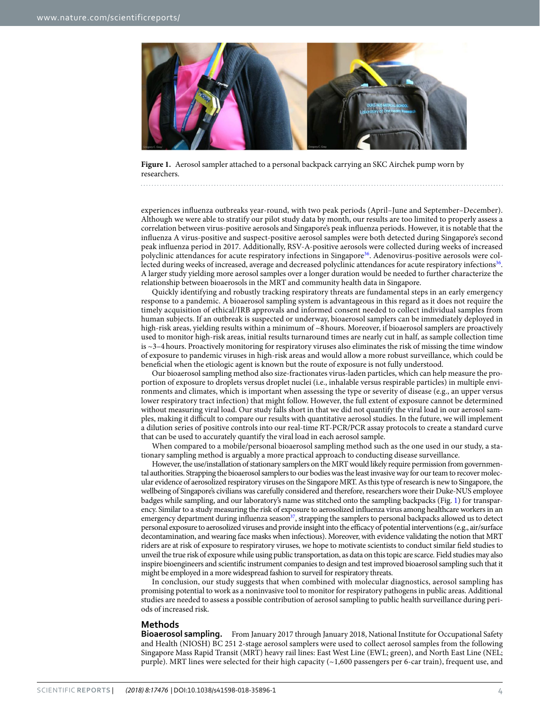

**Figure 1.** Aerosol sampler attached to a personal backpack carrying an SKC Airchek pump worn by researchers.

experiences infuenza outbreaks year-round, with two peak periods (April–June and September–December). Although we were able to stratify our pilot study data by month, our results are too limited to properly assess a correlation between virus-positive aerosols and Singapore's peak infuenza periods. However, it is notable that the infuenza A virus-positive and suspect-positive aerosol samples were both detected during Singapore's second peak infuenza period in 2017. Additionally, RSV-A-positive aerosols were collected during weeks of increased polyclinic attendances for acute respiratory infections in Singapore<sup>[36](#page-6-1)</sup>. Adenovirus-positive aerosols were collected during weeks of increased, average and decreased polyclinic attendances for acute respiratory infections<sup>36</sup>. A larger study yielding more aerosol samples over a longer duration would be needed to further characterize the relationship between bioaerosols in the MRT and community health data in Singapore.

<span id="page-3-0"></span>

Quickly identifying and robustly tracking respiratory threats are fundamental steps in an early emergency response to a pandemic. A bioaerosol sampling system is advantageous in this regard as it does not require the timely acquisition of ethical/IRB approvals and informed consent needed to collect individual samples from human subjects. If an outbreak is suspected or underway, bioaerosol samplers can be immediately deployed in high-risk areas, yielding results within a minimum of ~8 hours. Moreover, if bioaerosol samplers are proactively used to monitor high-risk areas, initial results turnaround times are nearly cut in half, as sample collection time is  $\sim$ 3–4 hours. Proactively monitoring for respiratory viruses also eliminates the risk of missing the time window of exposure to pandemic viruses in high-risk areas and would allow a more robust surveillance, which could be benefcial when the etiologic agent is known but the route of exposure is not fully understood.

Our bioaerosol sampling method also size-fractionates virus-laden particles, which can help measure the proportion of exposure to droplets versus droplet nuclei (i.e., inhalable versus respirable particles) in multiple environments and climates, which is important when assessing the type or severity of disease (e.g., an upper versus lower respiratory tract infection) that might follow. However, the full extent of exposure cannot be determined without measuring viral load. Our study falls short in that we did not quantify the viral load in our aerosol samples, making it difcult to compare our results with quantitative aerosol studies. In the future, we will implement a dilution series of positive controls into our real-time RT-PCR/PCR assay protocols to create a standard curve that can be used to accurately quantify the viral load in each aerosol sample.

When compared to a mobile/personal bioaerosol sampling method such as the one used in our study, a stationary sampling method is arguably a more practical approach to conducting disease surveillance.

However, the use/installation of stationary samplers on the MRT would likely require permission from governmental authorities. Strapping the bioaerosol samplers to our bodies was the least invasive way for our team to recover molecular evidence of aerosolized respiratory viruses on the Singapore MRT. As this type of research is new to Singapore, the wellbeing of Singapore's civilians was carefully considered and therefore, researchers wore their Duke-NUS employee badges while sampling, and our laboratory's name was stitched onto the sampling backpacks (Fig. [1\)](#page-3-0) for transparency. Similar to a study measuring the risk of exposure to aerosolized infuenza virus among healthcare workers in an emergency department during influenza season<sup>37</sup>, strapping the samplers to personal backpacks allowed us to detect personal exposure to aerosolized viruses and provide insight into the efficacy of potential interventions (e.g., air/surface decontamination, and wearing face masks when infectious). Moreover, with evidence validating the notion that MRT riders are at risk of exposure to respiratory viruses, we hope to motivate scientists to conduct similar feld studies to unveil the true risk of exposure while using public transportation, as data on this topic are scarce. Field studies may also inspire bioengineers and scientifc instrument companies to design and test improved bioaerosol sampling such that it might be employed in a more widespread fashion to surveil for respiratory threats.

In conclusion, our study suggests that when combined with molecular diagnostics, aerosol sampling has promising potential to work as a noninvasive tool to monitor for respiratory pathogens in public areas. Additional studies are needed to assess a possible contribution of aerosol sampling to public health surveillance during periods of increased risk.

#### **Methods**

**Bioaerosol sampling.** From January 2017 through January 2018, National Institute for Occupational Safety and Health (NIOSH) BC 251 2-stage aerosol samplers were used to collect aerosol samples from the following Singapore Mass Rapid Transit (MRT) heavy rail lines: East West Line (EWL; green), and North East Line (NEL; purple). MRT lines were selected for their high capacity (~1,600 passengers per 6-car train), frequent use, and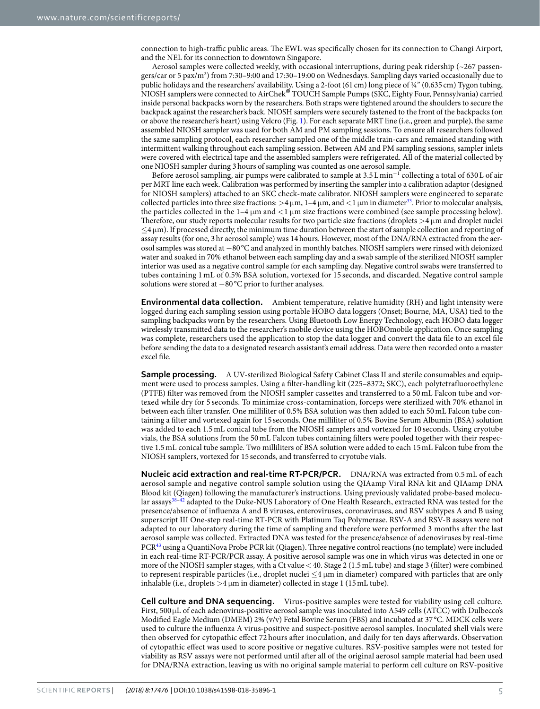connection to high-traffic public areas. The EWL was specifically chosen for its connection to Changi Airport, and the NEL for its connection to downtown Singapore.

Aerosol samples were collected weekly, with occasional interruptions, during peak ridership (~267 passengers/car or 5 pax/m2 ) from 7:30–9:00 and 17:30–19:00 on Wednesdays. Sampling days varied occasionally due to public holidays and the researchers' availability. Using a 2-foot (61 cm) long piece of ¼" (0.635 cm) Tygon tubing, NIOSH samplers were connected to AirChek® TOUCH Sample Pumps (SKC, Eighty Four, Pennsylvania) carried inside personal backpacks worn by the researchers. Both straps were tightened around the shoulders to secure the backpack against the researcher's back. NIOSH samplers were securely fastened to the front of the backpacks (on or above the researcher's heart) using Velcro (Fig. [1\)](#page-3-0). For each separate MRT line (i.e., green and purple), the same assembled NIOSH sampler was used for both AM and PM sampling sessions. To ensure all researchers followed the same sampling protocol, each researcher sampled one of the middle train-cars and remained standing with intermittent walking throughout each sampling session. Between AM and PM sampling sessions, sampler inlets were covered with electrical tape and the assembled samplers were refrigerated. All of the material collected by one NIOSH sampler during 3hours of sampling was counted as one aerosol sample.

Before aerosol sampling, air pumps were calibrated to sample at 3.5 L min<sup>−</sup><sup>1</sup> collecting a total of 630 L of air per MRT line each week. Calibration was performed by inserting the sampler into a calibration adaptor (designed for NIOSH samplers) attached to an SKC check-mate calibrator. NIOSH samplers were engineered to separate collected particles into three size fractions:  $>4 \mu m$ ,  $1-4 \mu m$ , and  $< 1 \mu m$  in diameter<sup>[33](#page-5-29)</sup>. Prior to molecular analysis, the particles collected in the  $1-4 \mu m$  and  $\langle 1 \mu m$  size fractions were combined (see sample processing below). Therefore, our study reports molecular results for two particle size fractions (droplets  $>4 \mu m$  and droplet nuclei  $\leq$ 4  $\mu$ m). If processed directly, the minimum time duration between the start of sample collection and reporting of assay results (for one, 3hr aerosol sample) was 14hours. However, most of the DNA/RNA extracted from the aerosol samples was stored at −80 °C and analyzed in monthly batches. NIOSH samplers were rinsed with deionized water and soaked in 70% ethanol between each sampling day and a swab sample of the sterilized NIOSH sampler interior was used as a negative control sample for each sampling day. Negative control swabs were transferred to tubes containing 1 mL of 0.5% BSA solution, vortexed for 15 seconds, and discarded. Negative control sample solutions were stored at −80 °C prior to further analyses.

**Environmental data collection.** Ambient temperature, relative humidity (RH) and light intensity were logged during each sampling session using portable HOBO data loggers (Onset; Bourne, MA, USA) tied to the sampling backpacks worn by the researchers. Using Bluetooth Low Energy Technology, each HOBO data logger wirelessly transmitted data to the researcher's mobile device using the HOBOmobile application. Once sampling was complete, researchers used the application to stop the data logger and convert the data fle to an excel fle before sending the data to a designated research assistant's email address. Data were then recorded onto a master excel fle.

**Sample processing.** A UV-sterilized Biological Safety Cabinet Class II and sterile consumables and equipment were used to process samples. Using a flter-handling kit (225–8372; SKC), each polytetrafuoroethylene (PTFE) flter was removed from the NIOSH sampler cassettes and transferred to a 50 mL Falcon tube and vortexed while dry for 5 seconds. To minimize cross-contamination, forceps were sterilized with 70% ethanol in between each flter transfer. One milliliter of 0.5% BSA solution was then added to each 50mL Falcon tube containing a flter and vortexed again for 15 seconds. One milliliter of 0.5% Bovine Serum Albumin (BSA) solution was added to each 1.5 mL conical tube from the NIOSH samplers and vortexed for 10 seconds. Using cryotube vials, the BSA solutions from the 50mL Falcon tubes containing flters were pooled together with their respective 1.5mL conical tube sample. Two milliliters of BSA solution were added to each 15mL Falcon tube from the NIOSH samplers, vortexed for 15 seconds, and transferred to cryotube vials.

**Nucleic acid extraction and real-time RT-PCR/PCR.** DNA/RNA was extracted from 0.5 mL of each aerosol sample and negative control sample solution using the QIAamp Viral RNA kit and QIAamp DNA Blood kit (Qiagen) following the manufacturer's instructions. Using previously validated probe-based molecular assays<sup>38–42</sup> adapted to the Duke-NUS Laboratory of One Health Research, extracted RNA was tested for the presence/absence of infuenza A and B viruses, enteroviruses, coronaviruses, and RSV subtypes A and B using superscript III One-step real-time RT-PCR with Platinum Taq Polymerase. RSV-A and RSV-B assays were not adapted to our laboratory during the time of sampling and therefore were performed 3 months afer the last aerosol sample was collected. Extracted DNA was tested for the presence/absence of adenoviruses by real-time PCR<sup>43</sup> using a QuantiNova Probe PCR kit (Qiagen). Three negative control reactions (no template) were included in each real-time RT-PCR/PCR assay. A positive aerosol sample was one in which virus was detected in one or more of the NIOSH sampler stages, with a Ct value<40. Stage 2 (1.5mL tube) and stage 3 (flter) were combined to represent respirable particles (i.e., droplet nuclei  $\leq 4 \mu m$  in diameter) compared with particles that are only inhalable (i.e., droplets  $>4 \mu m$  in diameter) collected in stage 1 (15 mL tube).

**Cell culture and DNA sequencing.** Virus-positive samples were tested for viability using cell culture. First, 500μL of each adenovirus-positive aerosol sample was inoculated into A549 cells (ATCC) with Dulbecco's Modifed Eagle Medium (DMEM) 2% (v/v) Fetal Bovine Serum (FBS) and incubated at 37 °C. MDCK cells were used to culture the infuenza A virus-positive and suspect-positive aerosol samples. Inoculated shell vials were then observed for cytopathic efect 72 hours afer inoculation, and daily for ten days aferwards. Observation of cytopathic efect was used to score positive or negative cultures. RSV-positive samples were not tested for viability as RSV assays were not performed until afer all of the original aerosol sample material had been used for DNA/RNA extraction, leaving us with no original sample material to perform cell culture on RSV-positive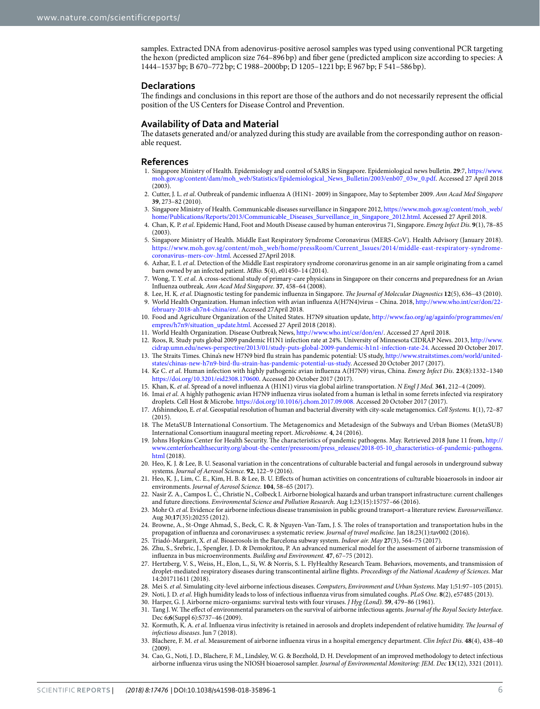samples. Extracted DNA from adenovirus-positive aerosol samples was typed using conventional PCR targeting the hexon (predicted amplicon size 764–896bp) and fber gene (predicted amplicon size according to species: A 1444–1537bp; B 670–772bp; C 1988–2000bp; D 1205–1221bp; E 967bp; F 541–586bp).

#### **Declarations**

The findings and conclusions in this report are those of the authors and do not necessarily represent the official position of the US Centers for Disease Control and Prevention.

#### **Availability of Data and Material**

The datasets generated and/or analyzed during this study are available from the corresponding author on reasonable request.

#### **References**

- <span id="page-5-0"></span>1. Singapore Ministry of Health. Epidemiology and control of SARS in Singapore. Epidemiological news bulletin. **29**:7, [https://www.](https://www.moh.gov.sg/content/dam/moh_web/Statistics/Epidemiological_News_Bulletin/2003/enb07_03w_0.pdf) [moh.gov.sg/content/dam/moh\\_web/Statistics/Epidemiological\\_News\\_Bulletin/2003/enb07\\_03w\\_0.pdf](https://www.moh.gov.sg/content/dam/moh_web/Statistics/Epidemiological_News_Bulletin/2003/enb07_03w_0.pdf). Accessed 27 April 2018 (2003).
- <span id="page-5-1"></span>2. Cutter, J. L. *et al*. Outbreak of pandemic infuenza A (H1N1- 2009) in Singapore, May to September 2009. *Ann Acad Med Singapore* **39**, 273–82 (2010).
- <span id="page-5-2"></span>3. Singapore Ministry of Health. Communicable diseases surveillance in Singapore 2012, [https://www.moh.gov.sg/content/moh\\_web/](https://www.moh.gov.sg/content/moh_web/home/Publications/Reports/2013/Communicable_Diseases_Surveillance_in_Singapore_2012.html) [home/Publications/Reports/2013/Communicable\\_Diseases\\_Surveillance\\_in\\_Singapore\\_2012.html](https://www.moh.gov.sg/content/moh_web/home/Publications/Reports/2013/Communicable_Diseases_Surveillance_in_Singapore_2012.html). Accessed 27 April 2018.
- <span id="page-5-3"></span>4. Chan, K. P. *et al*. Epidemic Hand, Foot and Mouth Disease caused by human enterovirus 71, Singapore. *Emerg Infect Dis.* **9**(1), 78–85  $(2003)$
- <span id="page-5-4"></span>5. Singapore Ministry of Health. Middle East Respiratory Syndrome Coronavirus (MERS-CoV). Health Advisory (January 2018). [https://www.moh.gov.sg/content/moh\\_web/home/pressRoom/Current\\_Issues/2014/middle-east-respiratory-syndrome](https://www.moh.gov.sg/content/moh_web/home/pressRoom/Current_Issues/2014/middle-east-respiratory-syndrome-coronavirus)[coronavirus–mers-cov-.html.](https://www.moh.gov.sg/content/moh_web/home/pressRoom/Current_Issues/2014/middle-east-respiratory-syndrome-coronavirus) Accessed 27April 2018.
- <span id="page-5-5"></span>6. Azhar, E. I. *et al*. Detection of the Middle East respiratory syndrome coronavirus genome in an air sample originating from a camel barn owned by an infected patient. *MBio.* **5**(4), e01450–14 (2014).
- <span id="page-5-6"></span>7. Wong, T. Y. *et al*. A cross-sectional study of primary-care physicians in Singapore on their concerns and preparedness for an Avian Infuenza outbreak. *Ann Acad Med Singapore.* **37**, 458–64 (2008).
- <span id="page-5-8"></span><span id="page-5-7"></span>8. Lee, H. K. *et al*. Diagnostic testing for pandemic infuenza in Singapore. *Te Journal of Molecular Diagnostics* **12**(5), 636–43 (2010). 9. World Health Organization. Human infection with avian infuenza A(H7N4)virus – China. 2018, [http://www.who.int/csr/don/22](http://www.who.int/csr/don/22-february-2018-ah7n4-china/en/)
	- [february-2018-ah7n4-china/en/](http://www.who.int/csr/don/22-february-2018-ah7n4-china/en/). Accessed 27April 2018.
- <span id="page-5-9"></span>10. Food and Agriculture Organization of the United States. H7N9 situation update, [http://www.fao.org/ag/againfo/programmes/en/](http://www.fao.org/ag/againfo/programmes/en/empres/h7n9/situation_update.html) [empres/h7n9/situation\\_update.html.](http://www.fao.org/ag/againfo/programmes/en/empres/h7n9/situation_update.html) Accessed 27 April 2018 (2018).
- <span id="page-5-10"></span>11. World Health Organization. Disease Outbreak News,<http://www.who.int/csr/don/en/>. Accessed 27 April 2018.
- <span id="page-5-11"></span>12. Roos, R. Study puts global 2009 pandemic H1N1 infection rate at 24%. University of Minnesota CIDRAP News. 2013, [http://www.](http://www.cidrap.umn.edu/news-perspective/2013/01/study-puts-global-2009-pandemic-h1n1-infection-rate-24) [cidrap.umn.edu/news-perspective/2013/01/study-puts-global-2009-pandemic-h1n1-infection-rate-24](http://www.cidrap.umn.edu/news-perspective/2013/01/study-puts-global-2009-pandemic-h1n1-infection-rate-24). Accessed 20 October 2017.
- <span id="page-5-12"></span>13. The Straits Times. China's new H7N9 bird flu strain has pandemic potential: US study, [http://www.straitstimes.com/world/united](http://www.straitstimes.com/world/united-states/chinas-new-h7n9-bird-flu-strain-has-pandemic-potential-us-study)[states/chinas-new-h7n9-bird-fu-strain-has-pandemic-potential-us-study.](http://www.straitstimes.com/world/united-states/chinas-new-h7n9-bird-flu-strain-has-pandemic-potential-us-study) Accessed 20 October 2017 (2017).
- <span id="page-5-13"></span>14. Ke C. *et al*. Human infection with highly pathogenic avian infuenza A(H7N9) virus, China. *Emerg Infect Dis*. **23**(8):1332–1340 [https://doi.org/10.3201/eid2308.170600.](http://dx.doi.org/10.3201/eid2308.170600) Accessed 20 October 2017 (2017).
- <span id="page-5-14"></span>15. Khan, K. *et al*. Spread of a novel infuenza A (H1N1) virus via global airline transportation. *N Engl J Med.* **361**, 212–4 (2009).
- <span id="page-5-15"></span>16. Imai *et al*. A highly pathogenic avian H7N9 infuenza virus isolated from a human is lethal in some ferrets infected via respiratory
- <span id="page-5-16"></span>droplets. Cell Host & Microbe. [https://doi.org/10.1016/j.chom.2017.09.008.](http://dx.doi.org/10.1016/j.chom.2017.09.008.) Accessed 20 October 2017 (2017). 17. Afshinnekoo, E. *et al*. Geospatial resolution of human and bacterial diversity with city-scale metagenomics. *Cell Systems.* **1**(1), 72–87
- <span id="page-5-17"></span>(2015). 18. The MetaSUB International Consortium. The Metagenomics and Metadesign of the Subways and Urban Biomes (MetaSUB) International Consortium inaugural meeting report. *Microbiome.* **4**, 24 (2016).
- <span id="page-5-18"></span>19. Johns Hopkins Center for Health Security. Te characteristics of pandemic pathogens. May. Retrieved 2018 June 11 from, [http://](http://www.centerforhealthsecurity.org/about-the-center/pressroom/press_releases/2018-05-10_characteristics-of-pandemic-pathogens.html) [www.centerforhealthsecurity.org/about-the-center/pressroom/press\\_releases/2018-05-10\\_characteristics-of-pandemic-pathogens.](http://www.centerforhealthsecurity.org/about-the-center/pressroom/press_releases/2018-05-10_characteristics-of-pandemic-pathogens.html) [html](http://www.centerforhealthsecurity.org/about-the-center/pressroom/press_releases/2018-05-10_characteristics-of-pandemic-pathogens.html) (2018).
- <span id="page-5-19"></span>20. Heo, K. J. & Lee, B. U. Seasonal variation in the concentrations of culturable bacterial and fungal aerosols in underground subway systems. *Journal of Aerosol Science.* **92**, 122–9 (2016).
- <span id="page-5-20"></span>21. Heo, K. J., Lim, C. E., Kim, H. B. & Lee, B. U. Efects of human activities on concentrations of culturable bioaerosols in indoor air environments. *Journal of Aerosol Science.* **104**, 58–65 (2017).
- <span id="page-5-21"></span>22. Nasir Z. A., Campos L. C., Christie N., Colbeck I. Airborne biological hazards and urban transport infrastructure: current challenges and future directions. *Environmental Science and Pollution Research*. Aug 1;23(15):15757–66 (2016).
- 23. Mohr O. *et al*. Evidence for airborne infectious disease transmission in public ground transport–a literature review. *Eurosurveillance*. Aug 30;**17**(35):20255 (2012).
- 24. Browne, A., St-Onge Ahmad, S., Beck, C. R. & Nguyen-Van-Tam, J. S. The roles of transportation and transportation hubs in the propagation of infuenza and coronaviruses: a systematic review. *Journal of travel medicine*. Jan 18;23(1):tav002 (2016).
- <span id="page-5-22"></span>25. Triadó‐Margarit, X. *et al*. Bioaerosols in the Barcelona subway system. *Indoor air. May* **27**(3), 564–75 (2017).
- <span id="page-5-23"></span>26. Zhu, S., Srebric, J., Spengler, J. D. & Demokritou, P. An advanced numerical model for the assessment of airborne transmission of infuenza in bus microenvironments. *Building and Environment.* **47**, 67–75 (2012).
- 27. Hertzberg, V. S., Weiss, H., Elon, L., Si, W. & Norris, S. L. FlyHealthy Research Team. Behaviors, movements, and transmission of droplet-mediated respiratory diseases during transcontinental airline fights. *Proceedings of the National Academy of Sciences*. Mar 14:201711611 (2018).
- <span id="page-5-24"></span>28. Mei S. *et al*. Simulating city-level airborne infectious diseases. *Computers*, *Environment and Urban Systems*. May 1;51:97–105 (2015).
- <span id="page-5-25"></span>29. Noti, J. D. *et al*. High humidity leads to loss of infectious infuenza virus from simulated coughs. *PLoS One.* **8**(2), e57485 (2013).
- <span id="page-5-26"></span>30. Harper, G. J. Airborne micro-organisms: survival tests with four viruses. *J Hyg (Lond).* **59**, 479–86 (1961).
- <span id="page-5-27"></span>31. Tang J. W. Te efect of environmental parameters on the survival of airborne infectious agents. *Journal of the Royal Society Interfac*e. Dec 6;**6**(Suppl 6):S737–46 (2009).
- <span id="page-5-28"></span>32. Kormuth, K. A. *et al*. Infuenza virus infectivity is retained in aerosols and droplets independent of relative humidity. *Te Journal of infectious diseases*. Jun 7 (2018).
- <span id="page-5-29"></span>33. Blachere, F. M. *et al*. Measurement of airborne infuenza virus in a hospital emergency department. *Clin Infect Dis.* **48**(4), 438–40  $(2009)$
- 34. Cao, G., Noti, J. D., Blachere, F. M., Lindsley, W. G. & Beezhold, D. H. Development of an improved methodology to detect infectious airborne infuenza virus using the NIOSH bioaerosol sampler. *Journal of Environmental Monitoring: JEM. Dec* **13**(12), 3321 (2011).